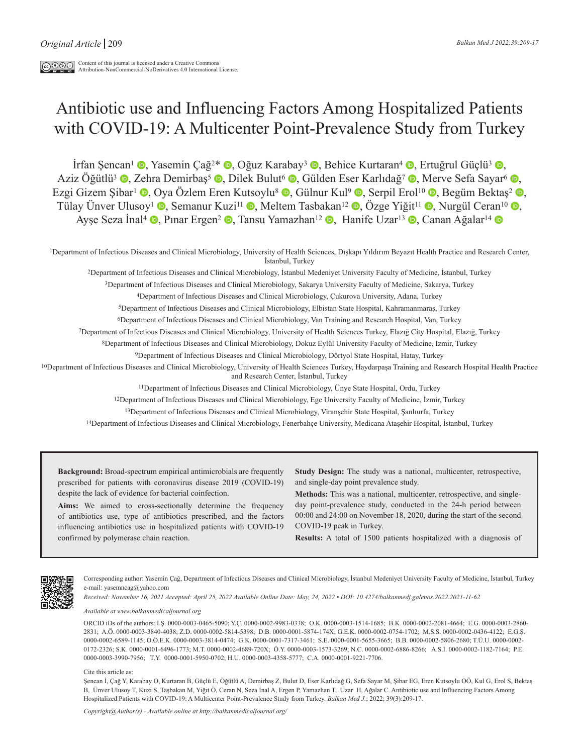# Antibiotic use and Influencing Factors Among Hospitalized Patients with COVID-19: A Multicenter Point-Prevalence Study from Turkey

**İrfan Sencan<sup>1</sup> (a. Yasemin Çağ<sup>2\*</sup> (b. Oğuz Karabay<sup>3</sup> (b. Behice Kurtaran<sup>4</sup> (b. Ertuğrul Güçlü<sup>3</sup> (b.** Aziz Öğütlü<sup>3</sup>  $\bullet$ , Zehra Demirbas<sup>5</sup>  $\bullet$ , Dilek Bulut<sup>6</sup>  $\bullet$ , Gülden Eser Karlıdağ<sup>7</sup>  $\bullet$ , Merve Sefa Sayar<sup>6</sup>  $\bullet$ , Ezgi Gizem Şibar<sup>ı</sup>  $\bullet$ [,](https://orcid.org/0000-0001-5655-3665) Oya Özlem Eren Kutsoylu<sup>8</sup>  $\bullet$ , Gülnur Kul<sup>9</sup>  $\bullet$ , Serpil Erol<sup>10</sup>  $\bullet$ , Begüm Bektas<sup>2</sup>  $\bullet$ , Tülay Ünver Ulusoy<sup>1</sup> **.** Semanur Kuzi<sup>11</sup> **.** Meltem Tasbakan<sup>12</sup> **.** Özge Yiğit<sup>11</sup> **.** Nurgül Ceran<sup>10</sup> . Ayşe Seza İnal<sup>4</sup> , Pınar Ergen<sup>2</sup> , Tansu Yamazhan<sup>12</sup> , Hanife Uzar<sup>13</sup> , Canan Ağalar<sup>14</sup> D

1Department of Infectious Diseases and Clinical Microbiology, University of Health Sciences, Dışkapı Yıldırım Beyazıt Health Practice and Research Center, İstanbul, Turkey

2Department of Infectious Diseases and Clinical Microbiology, İstanbul Medeniyet University Faculty of Medicine, İstanbul, Turkey

3Department of Infectious Diseases and Clinical Microbiology, Sakarya University Faculty of Medicine, Sakarya, Turkey

4Department of Infectious Diseases and Clinical Microbiology, Çukurova University, Adana, Turkey

5Department of Infectious Diseases and Clinical Microbiology, Elbistan State Hospital, Kahramanmaraş, Turkey

6Department of Infectious Diseases and Clinical Microbiology, Van Training and Research Hospital, Van, Turkey

7Department of Infectious Diseases and Clinical Microbiology, University of Health Sciences Turkey, Elazığ City Hospital, Elazığ, Turkey

8Department of Infectious Diseases and Clinical Microbiology, Dokuz Eylül University Faculty of Medicine, Izmir, Turkey

9Department of Infectious Diseases and Clinical Microbiology, Dörtyol State Hospital, Hatay, Turkey

10Department of Infectious Diseases and Clinical Microbiology, University of Health Sciences Turkey, Haydarpaşa Training and Research Hospital Health Practice and Research Center, İstanbul, Turkey

11Department of Infectious Diseases and Clinical Microbiology, Ünye State Hospital, Ordu, Turkey

12Department of Infectious Diseases and Clinical Microbiology, Ege University Faculty of Medicine, İzmir, Turkey

13Department of Infectious Diseases and Clinical Microbiology, Viranşehir State Hospital, Şanlıurfa, Turkey

14Department of Infectious Diseases and Clinical Microbiology, Fenerbahçe University, Medicana Ataşehir Hospital, İstanbul, Turkey

**Background:** Broad-spectrum empirical antimicrobials are frequently prescribed for patients with coronavirus disease 2019 (COVID-19) despite the lack of evidence for bacterial coinfection.

**Aims:** We aimed to cross-sectionally determine the frequency of antibiotics use, type of antibiotics prescribed, and the factors influencing antibiotics use in hospitalized patients with COVID-19 confirmed by polymerase chain reaction.

**Study Design:** The study was a national, multicenter, retrospective, and single-day point prevalence study.

**Methods:** This was a national, multicenter, retrospective, and singleday point-prevalence study, conducted in the 24-h period between 00:00 and 24:00 on November 18, 2020, during the start of the second COVID-19 peak in Turkey.

**Results:** A total of 1500 patients hospitalized with a diagnosis of



Corresponding author: Yasemin Çağ, Department of Infectious Diseases and Clinical Microbiology, İstanbul Medeniyet University Faculty of Medicine, İstanbul, Turkey e-mail: yasemncag@yahoo.com

*Received: November 16, 2021 Accepted: April 25, 2022 Available Online Date: May, 24, 2022 • DOI: 10.4274/balkanmedj.galenos.2022.2021-11-62*

*Available at www.balkanmedicaljournal.org*

ORCID iDs of the authors: İ.Ş. 0000-0003-0465-5090; Y.Ç. 0000-0002-9983-0338; O.K. 0000-0003-1514-1685; B.K. 0000-0002-2081-4664; E.G. 0000-0003-2860- 2831; A.Ö. 0000-0003-3840-4038; Z.D. 0000-0002-5814-5398; D.B. 0000-0001-5874-174X; G.E.K. 0000-0002-0754-1702; M.S.S. 0000-0002-0436-4122; E.G.Ş. 0000-0002-6589-1145; O.Ö.E.K. 0000-0003-3814-0474; G.K. 0000-0001-7317-3461; S.E. 0000-0001-5655-3665; B.B. 0000-0002-5806-2680; T.Ü.U. 0000-0002- 0172-2326; S.K. 0000-0001-6496-1773; M.T. 0000-0002-4689-720X; Ö.Y. 0000-0003-1573-3269; N.C. 0000-0002-6886-8266; A.S.İ. 0000-0002-1182-7164; P.E. 0000-0003-3990-7956; T.Y. 0000-0001-5950-0702; H.U. 0000-0003-4358-5777; C.A. 0000-0001-9221-7706.

Cite this article as:

Şencan İ, Çağ Y, Karabay O, Kurtaran B, Güçlü E, Öğütlü A, Demirbaş Z, Bulut D, Eser Karlıdağ G, Sefa Sayar M, Şibar EG, Eren Kutsoylu OÖ, Kul G, Erol S, Bektaş B, Ünver Ulusoy T, Kuzi S, Taşbakan M, Yiğit Ö, Ceran N, Seza İnal A, Ergen P, Yamazhan T, Uzar H, Ağalar C. Antibiotic use and Influencing Factors Among Hospitalized Patients with COVID-19: A Multicenter Point-Prevalence Study from Turkey. *Balkan Med J.*; 2022; 39(3):209-17.

*Copyright@Author(s) - Available online at http://balkanmedicaljournal.org/*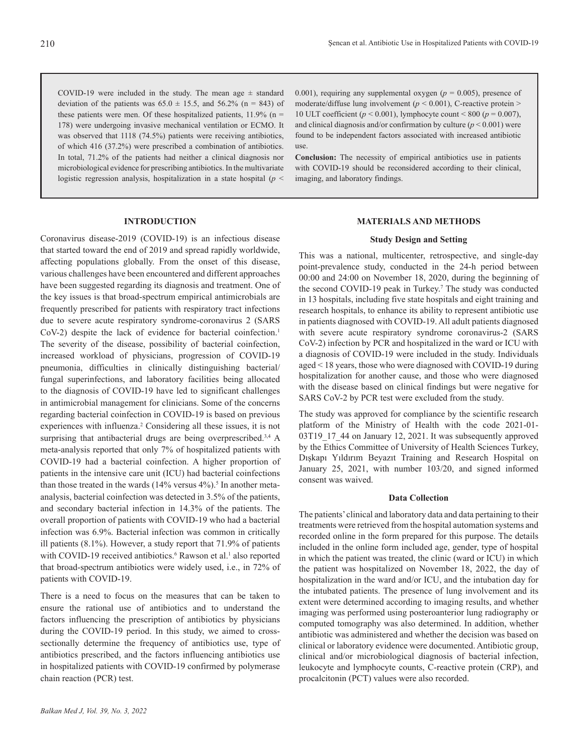COVID-19 were included in the study. The mean age  $\pm$  standard deviation of the patients was  $65.0 \pm 15.5$ , and  $56.2\%$  (n = 843) of these patients were men. Of these hospitalized patients,  $11.9\%$  (n = 178) were undergoing invasive mechanical ventilation or ECMO. It was observed that 1118 (74.5%) patients were receiving antibiotics, of which 416 (37.2%) were prescribed a combination of antibiotics. In total, 71.2% of the patients had neither a clinical diagnosis nor microbiological evidence for prescribing antibiotics. In the multivariate logistic regression analysis, hospitalization in a state hospital (*p* < 0.001), requiring any supplemental oxygen ( $p = 0.005$ ), presence of moderate/diffuse lung involvement ( $p < 0.001$ ), C-reactive protein > 10 ULT coefficient ( $p < 0.001$ ), lymphocyte count < 800 ( $p = 0.007$ ), and clinical diagnosis and/or confirmation by culture  $(p < 0.001)$  were found to be independent factors associated with increased antibiotic use.

**Conclusion:** The necessity of empirical antibiotics use in patients with COVID-19 should be reconsidered according to their clinical, imaging, and laboratory findings.

# **INTRODUCTION**

Coronavirus disease-2019 (COVID-19) is an infectious disease that started toward the end of 2019 and spread rapidly worldwide, affecting populations globally. From the onset of this disease, various challenges have been encountered and different approaches have been suggested regarding its diagnosis and treatment. One of the key issues is that broad-spectrum empirical antimicrobials are frequently prescribed for patients with respiratory tract infections due to severe acute respiratory syndrome-coronavirus 2 (SARS CoV-2) despite the lack of evidence for bacterial coinfection.<sup>1</sup> The severity of the disease, possibility of bacterial coinfection, increased workload of physicians, progression of COVID-19 pneumonia, difficulties in clinically distinguishing bacterial/ fungal superinfections, and laboratory facilities being allocated to the diagnosis of COVID-19 have led to significant challenges in antimicrobial management for clinicians. Some of the concerns regarding bacterial coinfection in COVID-19 is based on previous experiences with influenza.<sup>2</sup> Considering all these issues, it is not surprising that antibacterial drugs are being overprescribed.<sup>3,4</sup> A meta-analysis reported that only 7% of hospitalized patients with COVID-19 had a bacterial coinfection. A higher proportion of patients in the intensive care unit (ICU) had bacterial coinfections than those treated in the wards  $(14\% \text{ versus } 4\%)$ .<sup>5</sup> In another metaanalysis, bacterial coinfection was detected in 3.5% of the patients, and secondary bacterial infection in 14.3% of the patients. The overall proportion of patients with COVID-19 who had a bacterial infection was 6.9%. Bacterial infection was common in critically ill patients (8.1%). However, a study report that 71.9% of patients with COVID-19 received antibiotics.<sup>6</sup> Rawson et al.<sup>1</sup> also reported that broad-spectrum antibiotics were widely used, i.e., in 72% of patients with COVID-19.

There is a need to focus on the measures that can be taken to ensure the rational use of antibiotics and to understand the factors influencing the prescription of antibiotics by physicians during the COVID-19 period. In this study, we aimed to crosssectionally determine the frequency of antibiotics use, type of antibiotics prescribed, and the factors influencing antibiotics use in hospitalized patients with COVID-19 confirmed by polymerase chain reaction (PCR) test.

## **MATERIALS AND METHODS**

## **Study Design and Setting**

This was a national, multicenter, retrospective, and single-day point-prevalence study, conducted in the 24-h period between 00:00 and 24:00 on November 18, 2020, during the beginning of the second COVID-19 peak in Turkey.<sup>7</sup> The study was conducted in 13 hospitals, including five state hospitals and eight training and research hospitals, to enhance its ability to represent antibiotic use in patients diagnosed with COVID-19. All adult patients diagnosed with severe acute respiratory syndrome coronavirus-2 (SARS CoV-2) infection by PCR and hospitalized in the ward or ICU with a diagnosis of COVID-19 were included in the study. Individuals aged < 18 years, those who were diagnosed with COVID-19 during hospitalization for another cause, and those who were diagnosed with the disease based on clinical findings but were negative for SARS CoV-2 by PCR test were excluded from the study.

The study was approved for compliance by the scientific research platform of the Ministry of Health with the code 2021-01- 03T19 17 44 on January 12, 2021. It was subsequently approved by the Ethics Committee of University of Health Sciences Turkey, Dışkapı Yıldırım Beyazıt Training and Research Hospital on January 25, 2021, with number 103/20, and signed informed consent was waived.

## **Data Collection**

The patients' clinical and laboratory data and data pertaining to their treatments were retrieved from the hospital automation systems and recorded online in the form prepared for this purpose. The details included in the online form included age, gender, type of hospital in which the patient was treated, the clinic (ward or ICU) in which the patient was hospitalized on November 18, 2022, the day of hospitalization in the ward and/or ICU, and the intubation day for the intubated patients. The presence of lung involvement and its extent were determined according to imaging results, and whether imaging was performed using posteroanterior lung radiography or computed tomography was also determined. In addition, whether antibiotic was administered and whether the decision was based on clinical or laboratory evidence were documented. Antibiotic group, clinical and/or microbiological diagnosis of bacterial infection, leukocyte and lymphocyte counts, C-reactive protein (CRP), and procalcitonin (PCT) values were also recorded.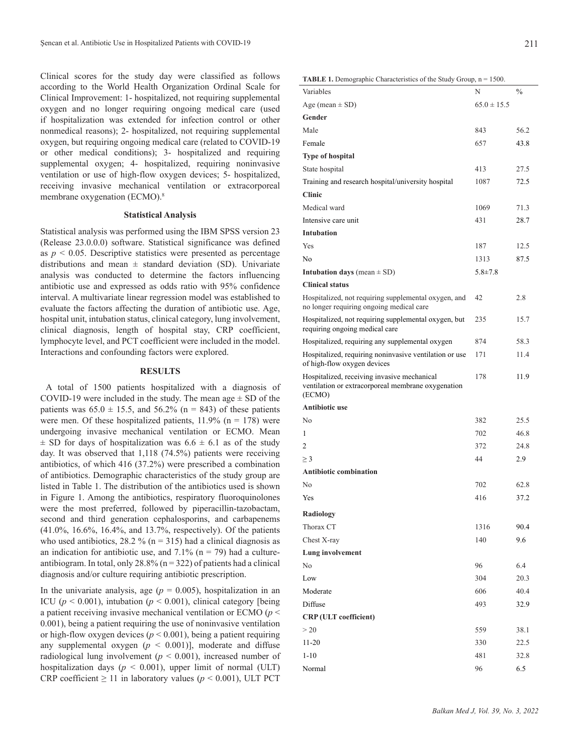Clinical scores for the study day were classified as follows according to the World Health Organization Ordinal Scale for Clinical Improvement: 1- hospitalized, not requiring supplemental oxygen and no longer requiring ongoing medical care (used if hospitalization was extended for infection control or other nonmedical reasons); 2- hospitalized, not requiring supplemental oxygen, but requiring ongoing medical care (related to COVID-19 or other medical conditions); 3- hospitalized and requiring supplemental oxygen; 4- hospitalized, requiring noninvasive ventilation or use of high-flow oxygen devices; 5- hospitalized, receiving invasive mechanical ventilation or extracorporeal membrane oxygenation (ECMO).<sup>8</sup>

# **Statistical Analysis**

Statistical analysis was performed using the IBM SPSS version 23 (Release 23.0.0.0) software. Statistical significance was defined as  $p \leq 0.05$ . Descriptive statistics were presented as percentage distributions and mean  $\pm$  standard deviation (SD). Univariate analysis was conducted to determine the factors influencing antibiotic use and expressed as odds ratio with 95% confidence interval. A multivariate linear regression model was established to evaluate the factors affecting the duration of antibiotic use. Age, hospital unit, intubation status, clinical category, lung involvement, clinical diagnosis, length of hospital stay, CRP coefficient, lymphocyte level, and PCT coefficient were included in the model. Interactions and confounding factors were explored.

# **RESULTS**

 A total of 1500 patients hospitalized with a diagnosis of COVID-19 were included in the study. The mean age  $\pm$  SD of the patients was  $65.0 \pm 15.5$ , and  $56.2\%$  (n = 843) of these patients were men. Of these hospitalized patients,  $11.9\%$  (n = 178) were undergoing invasive mechanical ventilation or ECMO. Mean  $\pm$  SD for days of hospitalization was 6.6  $\pm$  6.1 as of the study day. It was observed that 1,118 (74.5%) patients were receiving antibiotics, of which 416 (37.2%) were prescribed a combination of antibiotics. Demographic characteristics of the study group are listed in Table 1. The distribution of the antibiotics used is shown in Figure 1. Among the antibiotics, respiratory fluoroquinolones were the most preferred, followed by piperacillin-tazobactam, second and third generation cephalosporins, and carbapenems (41.0%, 16.6%, 16.4%, and 13.7%, respectively). Of the patients who used antibiotics, 28.2 % ( $n = 315$ ) had a clinical diagnosis as an indication for antibiotic use, and  $7.1\%$  (n = 79) had a cultureantibiogram. In total, only  $28.8\%$  (n = 322) of patients had a clinical diagnosis and/or culture requiring antibiotic prescription.

In the univariate analysis, age  $(p = 0.005)$ , hospitalization in an ICU ( $p < 0.001$ ), intubation ( $p < 0.001$ ), clinical category [being a patient receiving invasive mechanical ventilation or ECMO (*p* < 0.001), being a patient requiring the use of noninvasive ventilation or high-flow oxygen devices ( $p < 0.001$ ), being a patient requiring any supplemental oxygen  $(p < 0.001)$ ], moderate and diffuse radiological lung involvement ( $p < 0.001$ ), increased number of hospitalization days ( $p < 0.001$ ), upper limit of normal (ULT) CRP coefficient  $\geq 11$  in laboratory values ( $p \leq 0.001$ ), ULT PCT

## **TABLE 1.** Demographic Characteristics of the Study Group, n = 1500.

| Variables                                                                                                   | N               | $\frac{0}{0}$ |
|-------------------------------------------------------------------------------------------------------------|-----------------|---------------|
| Age (mean $\pm$ SD)                                                                                         | $65.0 \pm 15.5$ |               |
| Gender                                                                                                      |                 |               |
| Male                                                                                                        | 843             | 56.2          |
| Female                                                                                                      | 657             | 43.8          |
| <b>Type of hospital</b>                                                                                     |                 |               |
| State hospital                                                                                              | 413             | 27.5          |
| Training and research hospital/university hospital                                                          | 1087            | 72.5          |
| <b>Clinic</b>                                                                                               |                 |               |
| Medical ward                                                                                                | 1069            | 71.3          |
| Intensive care unit                                                                                         | 431             | 28.7          |
| <b>Intubation</b>                                                                                           |                 |               |
| <b>Yes</b>                                                                                                  | 187             | 12.5          |
| N <sub>0</sub>                                                                                              | 1313            | 87.5          |
| <b>Intubation days</b> (mean $\pm$ SD)                                                                      | $5.8 \pm 7.8$   |               |
| <b>Clinical status</b>                                                                                      |                 |               |
| Hospitalized, not requiring supplemental oxygen, and<br>no longer requiring ongoing medical care            | 42              | 2.8           |
| Hospitalized, not requiring supplemental oxygen, but<br>requiring ongoing medical care                      | 235             | 15.7          |
| Hospitalized, requiring any supplemental oxygen                                                             | 874             | 58.3          |
| Hospitalized, requiring noninvasive ventilation or use<br>of high-flow oxygen devices                       | 171             | 11.4          |
| Hospitalized, receiving invasive mechanical<br>ventilation or extracorporeal membrane oxygenation<br>(ECMO) | 178             | 11.9          |
| <b>Antibiotic use</b>                                                                                       |                 |               |
| N <sub>0</sub>                                                                                              | 382             | 25.5          |
| 1                                                                                                           | 702             | 46.8          |
| $\overline{c}$                                                                                              | 372             | 24.8          |
| $\geq$ 3                                                                                                    | 44              | 2.9           |
| <b>Antibiotic combination</b>                                                                               |                 |               |
| N <sub>0</sub>                                                                                              | 702             | 62.8          |
| Yes                                                                                                         | 416             | 37.2          |
| Radiology                                                                                                   |                 |               |
| Thorax CT                                                                                                   | 1316            | 90.4          |
| Chest X-ray                                                                                                 | 140             | 9.6           |
| Lung involvement                                                                                            |                 |               |
| N <sub>0</sub>                                                                                              | 96              | 6.4           |
| Low                                                                                                         | 304             | 20.3          |
| Moderate                                                                                                    | 606             | 40.4          |
| Diffuse                                                                                                     | 493             | 32.9          |
| <b>CRP</b> (ULT coefficient)                                                                                |                 |               |
| >20                                                                                                         | 559             | 38.1          |
| $11 - 20$                                                                                                   | 330             | 22.5          |
| $1 - 10$                                                                                                    | 481             | 32.8          |
| Normal                                                                                                      | 96              | 6.5           |
|                                                                                                             |                 |               |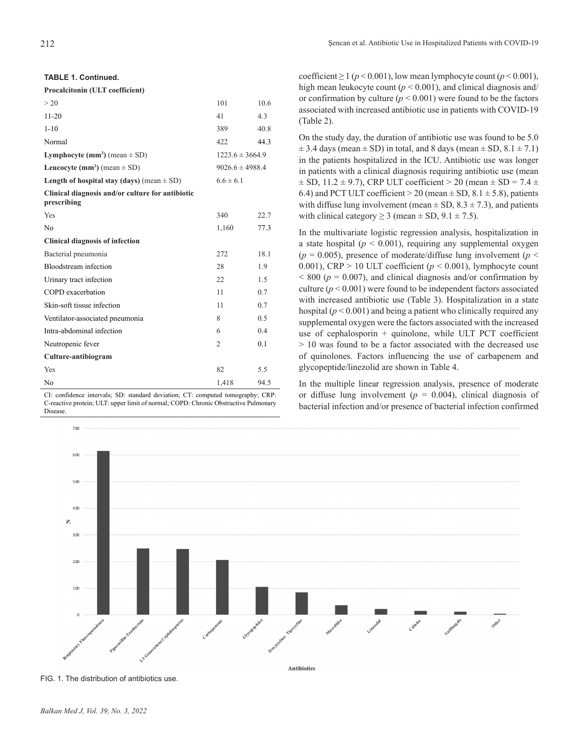**TABLE 1. Continued.**

### **Procalcitonin (ULT coefficient)**

| > 20                                                            | 101                 | 10.6 |  |  |
|-----------------------------------------------------------------|---------------------|------|--|--|
| $11 - 20$                                                       | 41                  | 4.3  |  |  |
| $1 - 10$                                                        | 389                 | 40.8 |  |  |
| Normal                                                          | 422                 | 44.3 |  |  |
| <b>Lymphocyte (mm<sup>3</sup>)</b> (mean $\pm$ SD)              | $1223.6 \pm 3664.9$ |      |  |  |
| Leucocyte (mm <sup>3</sup> ) (mean $\pm$ SD)                    | $9026.6 \pm 4988.4$ |      |  |  |
| Length of hospital stay (days) (mean $\pm$ SD)                  | $6.6 \pm 6.1$       |      |  |  |
| Clinical diagnosis and/or culture for antibiotic<br>prescribing |                     |      |  |  |
| Yes                                                             | 340                 | 22.7 |  |  |
| N <sub>0</sub>                                                  | 1,160               | 77.3 |  |  |
| <b>Clinical diagnosis of infection</b>                          |                     |      |  |  |
| Bacterial pneumonia                                             | 272                 | 18.1 |  |  |
| Bloodstream infection                                           | 28                  | 1.9  |  |  |
| Urinary tract infection                                         | 22.                 | 1.5  |  |  |
| COPD exacerbation                                               | 11                  | 0.7  |  |  |
| Skin-soft tissue infection                                      | 11                  | 0.7  |  |  |
| Ventilator-associated pneumonia                                 | 8                   | 0.5  |  |  |
| Intra-abdominal infection                                       | 6                   | 0.4  |  |  |
| Neutropenic fever                                               | $\overline{2}$      | 0.1  |  |  |
| Culture-antibiogram                                             |                     |      |  |  |
| Yes                                                             | 82                  | 5.5  |  |  |
| No                                                              | 1,418               | 94.5 |  |  |

CI: confidence intervals; SD: standard deviation; CT: computed tomography; CRP: C-reactive protein; ULT: upper limit of normal; COPD: Chronic Obstructive Pulmonary Disease.

coefficient  $\geq 1$  ( $p < 0.001$ ), low mean lymphocyte count ( $p < 0.001$ ), high mean leukocyte count ( $p < 0.001$ ), and clinical diagnosis and/ or confirmation by culture  $(p \le 0.001)$  were found to be the factors associated with increased antibiotic use in patients with COVID-19 (Table 2).

On the study day, the duration of antibiotic use was found to be 5.0  $\pm$  3.4 days (mean  $\pm$  SD) in total, and 8 days (mean  $\pm$  SD, 8.1  $\pm$  7.1) in the patients hospitalized in the ICU. Antibiotic use was longer in patients with a clinical diagnosis requiring antibiotic use (mean  $\pm$  SD, 11.2  $\pm$  9.7), CRP ULT coefficient > 20 (mean  $\pm$  SD = 7.4  $\pm$ 6.4) and PCT ULT coefficient  $> 20$  (mean  $\pm$  SD, 8.1  $\pm$  5.8), patients with diffuse lung involvement (mean  $\pm$  SD, 8.3  $\pm$  7.3), and patients with clinical category  $\geq 3$  (mean  $\pm$  SD, 9.1  $\pm$  7.5).

In the multivariate logistic regression analysis, hospitalization in a state hospital  $(p < 0.001)$ , requiring any supplemental oxygen  $(p = 0.005)$ , presence of moderate/diffuse lung involvement ( $p \le$ 0.001), CRP  $> 10$  ULT coefficient ( $p < 0.001$ ), lymphocyte count  $< 800$  ( $p = 0.007$ ), and clinical diagnosis and/or confirmation by culture  $(p < 0.001)$  were found to be independent factors associated with increased antibiotic use (Table 3). Hospitalization in a state hospital  $(p < 0.001)$  and being a patient who clinically required any supplemental oxygen were the factors associated with the increased use of cephalosporin + quinolone, while ULT PCT coefficient > 10 was found to be a factor associated with the decreased use of quinolones. Factors influencing the use of carbapenem and glycopeptide/linezolid are shown in Table 4.

In the multiple linear regression analysis, presence of moderate or diffuse lung involvement ( $p = 0.004$ ), clinical diagnosis of bacterial infection and/or presence of bacterial infection confirmed



FIG. 1. The distribution of antibiotics use.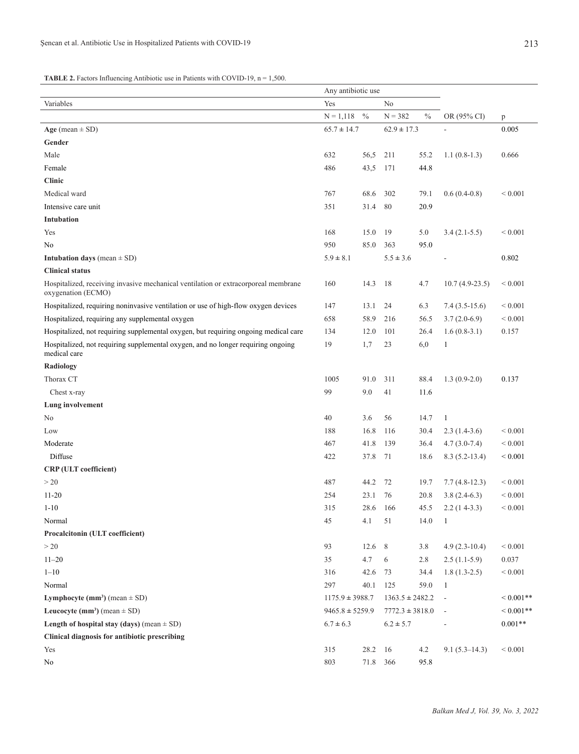# **TABLE 2.** Factors Influencing Antibiotic use in Patients with COVID-19, n = 1,500.

|                                                                                                          |                     | Any antibiotic use |                     |               |                          |              |
|----------------------------------------------------------------------------------------------------------|---------------------|--------------------|---------------------|---------------|--------------------------|--------------|
| Variables                                                                                                | Yes                 | No                 |                     |               |                          |              |
|                                                                                                          | $N = 1,118$         | $\frac{0}{0}$      | $N = 382$           | $\frac{0}{0}$ | OR (95% CI)              | p            |
| Age (mean $\pm$ SD)                                                                                      | $65.7 \pm 14.7$     |                    | $62.9 \pm 17.3$     |               |                          | 0.005        |
| Gender                                                                                                   |                     |                    |                     |               |                          |              |
| Male                                                                                                     | 632                 | 56,5               | 211                 | 55.2          | $1.1(0.8-1.3)$           | 0.666        |
| Female                                                                                                   | 486                 | 43,5               | 171                 | 44.8          |                          |              |
| <b>Clinic</b>                                                                                            |                     |                    |                     |               |                          |              |
| Medical ward                                                                                             | 767                 | 68.6               | 302                 | 79.1          | $0.6(0.4-0.8)$           | ${}< 0.001$  |
| Intensive care unit                                                                                      | 351                 | 31.4               | 80                  | 20.9          |                          |              |
| Intubation                                                                                               |                     |                    |                     |               |                          |              |
| Yes                                                                                                      | 168                 | 15.0               | 19                  | 5.0           | $3.4(2.1-5.5)$           | ${}< 0.001$  |
| No                                                                                                       | 950                 | 85.0               | 363                 | 95.0          |                          |              |
| <b>Intubation days</b> (mean $\pm$ SD)                                                                   | $5.9 \pm 8.1$       |                    | $5.5 \pm 3.6$       |               |                          | 0.802        |
| <b>Clinical status</b>                                                                                   |                     |                    |                     |               |                          |              |
| Hospitalized, receiving invasive mechanical ventilation or extracorporeal membrane<br>oxygenation (ECMO) | 160                 | 14.3               | 18                  | 4.7           | $10.7(4.9-23.5)$         | ${}_{0.001}$ |
| Hospitalized, requiring noninvasive ventilation or use of high-flow oxygen devices                       | 147                 | 13.1               | 24                  | 6.3           | $7.4(3.5-15.6)$          | ${}_{0.001}$ |
| Hospitalized, requiring any supplemental oxygen                                                          | 658                 | 58.9               | 216                 | 56.5          | $3.7(2.0-6.9)$           | ${}< 0.001$  |
| Hospitalized, not requiring supplemental oxygen, but requiring ongoing medical care                      | 134                 | 12.0               | 101                 | 26.4          | $1.6(0.8-3.1)$           | 0.157        |
| Hospitalized, not requiring supplemental oxygen, and no longer requiring ongoing<br>medical care         | 19                  | 1,7                | 23                  | 6,0           | 1                        |              |
| Radiology                                                                                                |                     |                    |                     |               |                          |              |
| Thorax CT                                                                                                | 1005                | 91.0               | 311                 | 88.4          | $1.3(0.9-2.0)$           | 0.137        |
| Chest x-ray                                                                                              | 99                  | 9.0                | 41                  | 11.6          |                          |              |
| Lung involvement                                                                                         |                     |                    |                     |               |                          |              |
| N <sub>0</sub>                                                                                           | 40                  | 3.6                | 56                  | 14.7          | $\mathbf{1}$             |              |
| Low                                                                                                      | 188                 | 16.8               | 116                 | 30.4          | $2.3(1.4-3.6)$           | ${}_{0.001}$ |
| Moderate                                                                                                 | 467                 | 41.8               | 139                 | 36.4          | $4.7(3.0-7.4)$           | ${}_{0.001}$ |
| Diffuse                                                                                                  | 422                 | 37.8               | 71                  | 18.6          | $8.3(5.2-13.4)$          | ${}< 0.001$  |
| <b>CRP</b> (ULT coefficient)                                                                             |                     |                    |                     |               |                          |              |
| >20                                                                                                      | 487                 | 44.2               | 72                  | 19.7          | $7.7(4.8-12.3)$          | ${}_{0.001}$ |
| $11 - 20$                                                                                                | 254                 | 23.1               | 76                  | 20.8          | $3.8(2.4-6.3)$           | ${}_{0.001}$ |
| $1-10$                                                                                                   | 315                 | 28.6               | 166                 | 45.5          | $2.2(14-3.3)$            | ${}_{0.001}$ |
| Normal                                                                                                   | 45                  | 4.1                | 51                  | 14.0          | $\mathbf{1}$             |              |
| Procalcitonin (ULT coefficient)                                                                          |                     |                    |                     |               |                          |              |
| >20                                                                                                      | 93                  | 12.6               | 8                   | 3.8           | $4.9(2.3-10.4)$          | ${}< 0.001$  |
| $11 - 20$                                                                                                | 35                  | 4.7                | 6                   | 2.8           | $2.5(1.1-5.9)$           | 0.037        |
| $1 - 10$                                                                                                 | 316                 | 42.6               | 73                  | 34.4          | $1.8(1.3-2.5)$           | ${}< 0.001$  |
| Normal                                                                                                   | 297                 | 40.1               | 125                 | 59.0          | -1                       |              |
| Lymphocyte (mm <sup>3</sup> ) (mean $\pm$ SD)                                                            | $1175.9 \pm 3988.7$ |                    | $1363.5 \pm 2482.2$ |               | $\sim$                   | ${}<0.001**$ |
| Leucocyte (mm <sup>3</sup> ) (mean $\pm$ SD)                                                             | $9465.8 \pm 5259.9$ |                    | $7772.3 \pm 3818.0$ |               | $\overline{\phantom{a}}$ | ${}<0.001**$ |
| Length of hospital stay (days) (mean $\pm$ SD)                                                           | $6.7 \pm 6.3$       |                    | $6.2 \pm 5.7$       |               | $\sim$                   | $0.001**$    |
| Clinical diagnosis for antibiotic prescribing                                                            |                     |                    |                     |               |                          |              |
| Yes                                                                                                      | 315                 | 28.2               | 16                  | 4.2           | $9.1(5.3-14.3)$          | ${}< 0.001$  |
| No                                                                                                       | 803                 | 71.8               | 366                 | 95.8          |                          |              |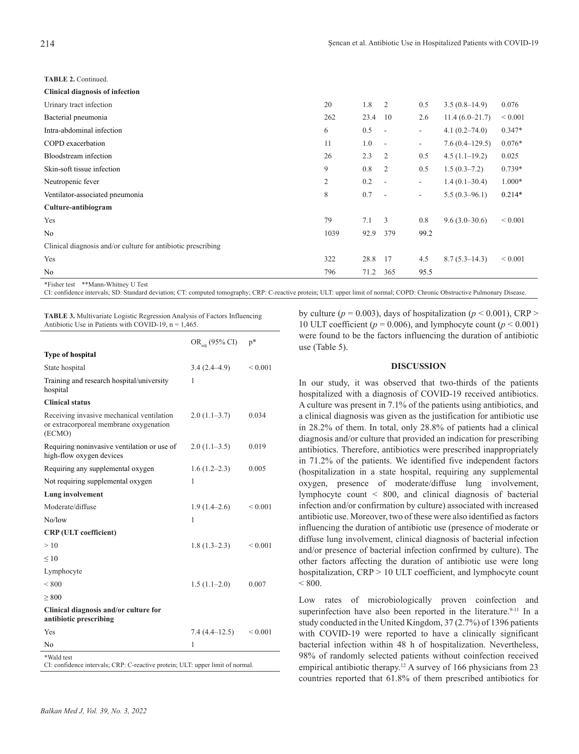**TABLE 2.** Continued.

| <b>Clinical diagnosis of infection</b>                       |                |      |                |                          |                   |             |
|--------------------------------------------------------------|----------------|------|----------------|--------------------------|-------------------|-------------|
| Urinary tract infection                                      | 20             | 1.8  | $\overline{2}$ | 0.5                      | $3.5(0.8-14.9)$   | 0.076       |
| Bacterial pneumonia                                          | 262            | 23.4 | 10             | 2.6                      | $11.4(6.0-21.7)$  | ${}< 0.001$ |
| Intra-abdominal infection                                    | 6              | 0.5  | $\sim$         | $\overline{\phantom{a}}$ | $4.1(0.2 - 74.0)$ | $0.347*$    |
| COPD exacerbation                                            | 11             | 1.0  | $\sim$         | $\overline{\phantom{a}}$ | $7.6(0.4-129.5)$  | $0.076*$    |
| Bloodstream infection                                        | 26             | 2.3  | 2              | 0.5                      | $4.5(1.1-19.2)$   | 0.025       |
| Skin-soft tissue infection                                   | 9              | 0.8  | 2              | 0.5                      | $1.5(0.3-7.2)$    | $0.739*$    |
| Neutropenic fever                                            | $\overline{2}$ | 0.2  | $\sim$         | $\overline{\phantom{a}}$ | $1.4(0.1 - 30.4)$ | $1.000*$    |
| Ventilator-associated pneumonia                              | 8              | 0.7  | $\sim$         | $\overline{\phantom{a}}$ | $5.5(0.3-96.1)$   | $0.214*$    |
| Culture-antibiogram                                          |                |      |                |                          |                   |             |
| Yes                                                          | 79             | 7.1  | 3              | 0.8                      | $9.6(3.0-30.6)$   | ${}< 0.001$ |
| No                                                           | 1039           | 92.9 | 379            | 99.2                     |                   |             |
| Clinical diagnosis and/or culture for antibiotic prescribing |                |      |                |                          |                   |             |
| Yes                                                          | 322            | 28.8 | 17             | 4.5                      | $8.7(5.3 - 14.3)$ | ${}< 0.001$ |
| No                                                           | 796            | 71.2 | 365            | 95.5                     |                   |             |
| *Fisher test **Mann-Whitney U Test                           |                |      |                |                          |                   |             |

CI: confidence intervals; SD: Standard deviation; CT: computed tomography; CRP: C-reactive protein; ULT: upper limit of normal; COPD: Chronic Obstructive Pulmonary Disease.

**TABLE 3.** Multivariate Logistic Regression Analysis of Factors Influencing Antibiotic Use in Patients with COVID-19,  $n = 1,465$ .

|                                                                                               | OR <sub>adi</sub> (95% CI) | $p^*$        |
|-----------------------------------------------------------------------------------------------|----------------------------|--------------|
| <b>Type of hospital</b>                                                                       |                            |              |
| State hospital                                                                                | $3.4(2.4-4.9)$             | ${}< 0.001$  |
| Training and research hospital/university<br>hospital                                         | 1                          |              |
| <b>Clinical status</b>                                                                        |                            |              |
| Receiving invasive mechanical ventilation<br>or extracorporeal membrane oxygenation<br>(ECMO) | $2.0(1.1-3.7)$             | 0.034        |
| Requiring noninvasive ventilation or use of<br>high-flow oxygen devices                       | $2.0(1.1-3.5)$             | 0.019        |
| Requiring any supplemental oxygen                                                             | $1.6(1.2-2.3)$             | 0.005        |
| Not requiring supplemental oxygen                                                             | 1                          |              |
| Lung involvement                                                                              |                            |              |
| Moderate/diffuse                                                                              | $1.9(1.4-2.6)$             | ${}_{0.001}$ |
| No/low                                                                                        | 1                          |              |
| <b>CRP</b> (ULT coefficient)                                                                  |                            |              |
| >10                                                                                           | $1.8(1.3-2.3)$             | ${}_{0.001}$ |
| $\leq 10$                                                                                     |                            |              |
| Lymphocyte                                                                                    |                            |              |
| ${}< 800$                                                                                     | $1.5(1.1-2.0)$             | 0.007        |
| > 800                                                                                         |                            |              |
| Clinical diagnosis and/or culture for<br>antibiotic prescribing                               |                            |              |
| Yes                                                                                           | $7.4(4.4-12.5)$            | ${}_{0.001}$ |
| No                                                                                            | 1                          |              |
| *Wald test<br>CI: confidence intervals; CRP: C-reactive protein; ULT: upper limit of normal.  |                            |              |

by culture ( $p = 0.003$ ), days of hospitalization ( $p < 0.001$ ), CRP > 10 ULT coefficient ( $p = 0.006$ ), and lymphocyte count ( $p \le 0.001$ ) were found to be the factors influencing the duration of antibiotic use (Table 5).

## **DISCUSSION**

In our study, it was observed that two-thirds of the patients hospitalized with a diagnosis of COVID-19 received antibiotics. A culture was present in 7.1% of the patients using antibiotics, and a clinical diagnosis was given as the justification for antibiotic use in 28.2% of them. In total, only 28.8% of patients had a clinical diagnosis and/or culture that provided an indication for prescribing antibiotics. Therefore, antibiotics were prescribed inappropriately in 71.2% of the patients. We identified five independent factors (hospitalization in a state hospital, requiring any supplemental oxygen, presence of moderate/diffuse lung involvement, lymphocyte count < 800, and clinical diagnosis of bacterial infection and/or confirmation by culture) associated with increased antibiotic use. Moreover, two of these were also identified as factors influencing the duration of antibiotic use (presence of moderate or diffuse lung involvement, clinical diagnosis of bacterial infection and/or presence of bacterial infection confirmed by culture). The other factors affecting the duration of antibiotic use were long hospitalization, CRP > 10 ULT coefficient, and lymphocyte count  $< 800.$ 

Low rates of microbiologically proven coinfection and superinfection have also been reported in the literature.<sup>9-11</sup> In a study conducted in the United Kingdom, 37 (2.7%) of 1396 patients with COVID-19 were reported to have a clinically significant bacterial infection within 48 h of hospitalization. Nevertheless, 98% of randomly selected patients without coinfection received empirical antibiotic therapy.<sup>12</sup> A survey of 166 physicians from 23 countries reported that 61.8% of them prescribed antibiotics for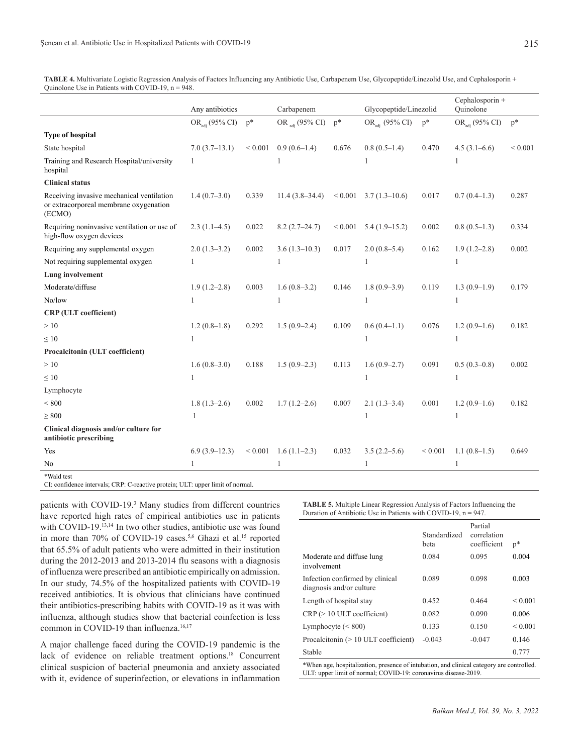**TABLE 4.** Multivariate Logistic Regression Analysis of Factors Influencing any Antibiotic Use, Carbapenem Use, Glycopeptide/Linezolid Use, and Cephalosporin + Ouinolone Use in Patients with COVID-19,  $n = 948$ .

|                                                                                               | Any antibiotics<br>Carbapenem |                   | Glycopeptide/Linezolid     |                | Cephalosporin +<br>Ouinolone |             |                            |             |
|-----------------------------------------------------------------------------------------------|-------------------------------|-------------------|----------------------------|----------------|------------------------------|-------------|----------------------------|-------------|
|                                                                                               | OR <sub>adi</sub> (95% CI)    | $\mathbf{p}^*$    | OR <sub>adi</sub> (95% CI) | $\mathbf{p}^*$ | OR <sub>adi</sub> (95% CI)   | $p^*$       | OR <sub>adi</sub> (95% CI) | $p^*$       |
| <b>Type of hospital</b>                                                                       |                               |                   |                            |                |                              |             |                            |             |
| State hospital                                                                                | $7.0(3.7-13.1)$               | ${}< 0.001$       | $0.9(0.6-1.4)$             | 0.676          | $0.8(0.5-1.4)$               | 0.470       | $4.5(3.1-6.6)$             | ${}< 0.001$ |
| Training and Research Hospital/university<br>hospital                                         | 1                             |                   |                            |                | 1                            |             | 1                          |             |
| <b>Clinical status</b>                                                                        |                               |                   |                            |                |                              |             |                            |             |
| Receiving invasive mechanical ventilation<br>or extracorporeal membrane oxygenation<br>(ECMO) | $1.4(0.7-3.0)$                | 0.339             | $11.4(3.8-34.4)$           | ${}< 0.001$    | $3.7(1.3 - 10.6)$            | 0.017       | $0.7(0.4-1.3)$             | 0.287       |
| Requiring noninvasive ventilation or use of<br>high-flow oxygen devices                       | $2.3(1.1-4.5)$                | 0.022             | $8.2(2.7-24.7)$            | ${}< 0.001$    | $5.4(1.9-15.2)$              | 0.002       | $0.8(0.5-1.3)$             | 0.334       |
| Requiring any supplemental oxygen                                                             | $2.0(1.3-3.2)$                | 0.002             | $3.6(1.3-10.3)$            | 0.017          | $2.0(0.8-5.4)$               | 0.162       | $1.9(1.2 - 2.8)$           | 0.002       |
| Not requiring supplemental oxygen                                                             | 1                             |                   | 1                          |                | 1                            |             | 1                          |             |
| Lung involvement                                                                              |                               |                   |                            |                |                              |             |                            |             |
| Moderate/diffuse                                                                              | $1.9(1.2-2.8)$                | 0.003             | $1.6(0.8-3.2)$             | 0.146          | $1.8(0.9-3.9)$               | 0.119       | $1.3(0.9-1.9)$             | 0.179       |
| No/low                                                                                        | 1                             |                   | 1                          |                | 1                            |             | 1                          |             |
| <b>CRP</b> (ULT coefficient)                                                                  |                               |                   |                            |                |                              |             |                            |             |
| >10                                                                                           | $1.2(0.8-1.8)$                | 0.292             | $1.5(0.9-2.4)$             | 0.109          | $0.6(0.4-1.1)$               | 0.076       | $1.2(0.9-1.6)$             | 0.182       |
| $\leq 10$                                                                                     | $\mathbf{1}$                  |                   |                            |                | 1                            |             | 1                          |             |
| Procalcitonin (ULT coefficient)                                                               |                               |                   |                            |                |                              |             |                            |             |
| >10                                                                                           | $1.6(0.8-3.0)$                | 0.188             | $1.5(0.9-2.3)$             | 0.113          | $1.6(0.9-2.7)$               | 0.091       | $0.5(0.3-0.8)$             | 0.002       |
| $\leq 10$                                                                                     | $\mathbf{1}$                  |                   |                            |                | 1                            |             | 1                          |             |
| Lymphocyte                                                                                    |                               |                   |                            |                |                              |             |                            |             |
| ${}_{< 800}$                                                                                  | $1.8(1.3-2.6)$                | 0.002             | $1.7(1.2-2.6)$             | 0.007          | $2.1(1.3-3.4)$               | 0.001       | $1.2(0.9-1.6)$             | 0.182       |
| $\geq 800$                                                                                    | 1                             |                   |                            |                | 1                            |             | 1                          |             |
| Clinical diagnosis and/or culture for<br>antibiotic prescribing                               |                               |                   |                            |                |                              |             |                            |             |
| Yes                                                                                           | $6.9(3.9-12.3)$               | ${}_{\leq 0.001}$ | $1.6(1.1-2.3)$             | 0.032          | $3.5(2.2 - 5.6)$             | ${}< 0.001$ | $1.1(0.8-1.5)$             | 0.649       |
| No                                                                                            | $\mathbf{1}$                  |                   | 1                          |                | $\mathbf{1}$                 |             | 1                          |             |
| *Wald test<br>CI: confidence intervals; CRP: C-reactive protein; ULT: upper limit of normal.  |                               |                   |                            |                |                              |             |                            |             |

patients with COVID-19.<sup>3</sup> Many studies from different countries have reported high rates of empirical antibiotics use in patients with COVID-19.<sup>13,14</sup> In two other studies, antibiotic use was found in more than 70% of COVID-19 cases.<sup>5,6</sup> Ghazi et al.<sup>15</sup> reported that 65.5% of adult patients who were admitted in their institution during the 2012-2013 and 2013-2014 flu seasons with a diagnosis of influenza were prescribed an antibiotic empirically on admission. In our study, 74.5% of the hospitalized patients with COVID-19 received antibiotics. It is obvious that clinicians have continued their antibiotics-prescribing habits with COVID-19 as it was with influenza, although studies show that bacterial coinfection is less common in COVID-19 than influenza.<sup>16,17</sup>

A major challenge faced during the COVID-19 pandemic is the lack of evidence on reliable treatment options.<sup>18</sup> Concurrent clinical suspicion of bacterial pneumonia and anxiety associated with it, evidence of superinfection, or elevations in inflammation

**TABLE 5.** Multiple Linear Regression Analysis of Factors Influencing the Duration of Antibiotic Use in Patients with COVID-19, n = 947.

|                                                             | Standardized | Partial<br>correlation |              |
|-------------------------------------------------------------|--------------|------------------------|--------------|
|                                                             | beta         | coefficient            | $p^*$        |
| Moderate and diffuse lung<br>involvement                    | 0.084        | 0.095                  | 0.004        |
| Infection confirmed by clinical<br>diagnosis and/or culture | 0.089        | 0.098                  | 0.003        |
| Length of hospital stay                                     | 0.452        | 0.464                  | ${}_{0.001}$ |
| $CRP \geq 10 \text{ ULT coefficient}$                       | 0.082        | 0.090                  | 0.006        |
| Lymphocyte $(< 800)$                                        | 0.133        | 0.150                  | ${}_{0.001}$ |
| Procalcitonin $(>10$ ULT coefficient)                       | $-0.043$     | $-0.047$               | 0.146        |
| Stable                                                      |              |                        | 0.777        |
|                                                             |              |                        |              |

\*When age, hospitalization, presence of intubation, and clinical category are controlled. ULT: upper limit of normal; COVID-19: coronavirus disease-2019.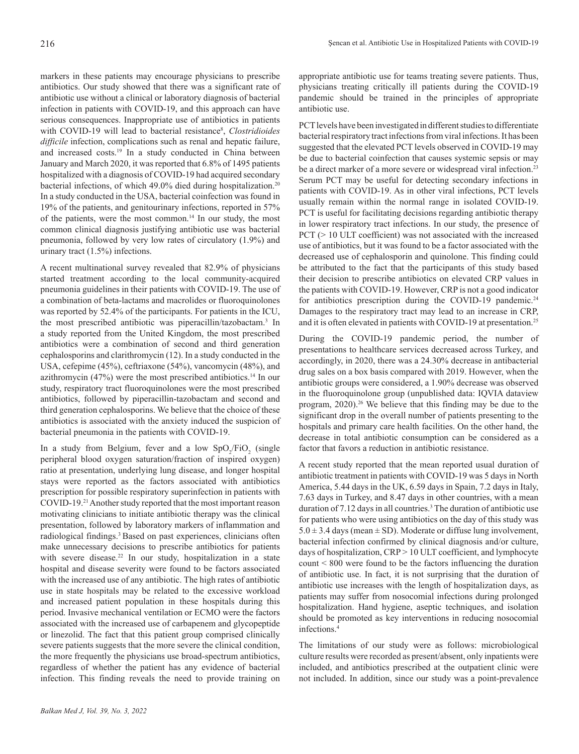markers in these patients may encourage physicians to prescribe antibiotics. Our study showed that there was a significant rate of antibiotic use without a clinical or laboratory diagnosis of bacterial infection in patients with COVID-19, and this approach can have serious consequences. Inappropriate use of antibiotics in patients with COVID-19 will lead to bacterial resistance<sup>8</sup>, *Clostridioides difficile* infection, complications such as renal and hepatic failure, and increased costs.<sup>19</sup> In a study conducted in China between January and March 2020, it was reported that 6.8% of 1495 patients hospitalized with a diagnosis of COVID-19 had acquired secondary bacterial infections, of which 49.0% died during hospitalization.<sup>20</sup> In a study conducted in the USA, bacterial coinfection was found in 19% of the patients, and genitourinary infections, reported in 57% of the patients, were the most common.<sup>14</sup> In our study, the most common clinical diagnosis justifying antibiotic use was bacterial pneumonia, followed by very low rates of circulatory (1.9%) and urinary tract (1.5%) infections.

A recent multinational survey revealed that 82.9% of physicians started treatment according to the local community-acquired pneumonia guidelines in their patients with COVID-19. The use of a combination of beta-lactams and macrolides or fluoroquinolones was reported by 52.4% of the participants. For patients in the ICU, the most prescribed antibiotic was piperacillin/tazobactam.<sup>3</sup> In a study reported from the United Kingdom, the most prescribed antibiotics were a combination of second and third generation cephalosporins and clarithromycin (12). In a study conducted in the USA, cefepime (45%), ceftriaxone (54%), vancomycin (48%), and azithromycin (47%) were the most prescribed antibiotics.14 In our study, respiratory tract fluoroquinolones were the most prescribed antibiotics, followed by piperacillin-tazobactam and second and third generation cephalosporins. We believe that the choice of these antibiotics is associated with the anxiety induced the suspicion of bacterial pneumonia in the patients with COVID-19.

In a study from Belgium, fever and a low  $SpO_2/FiO_2$  (single peripheral blood oxygen saturation/fraction of inspired oxygen) ratio at presentation, underlying lung disease, and longer hospital stays were reported as the factors associated with antibiotics prescription for possible respiratory superinfection in patients with COVID-19.21 Another study reported that the most important reason motivating clinicians to initiate antibiotic therapy was the clinical presentation, followed by laboratory markers of inflammation and radiological findings.<sup>3</sup> Based on past experiences, clinicians often make unnecessary decisions to prescribe antibiotics for patients with severe disease.<sup>22</sup> In our study, hospitalization in a state hospital and disease severity were found to be factors associated with the increased use of any antibiotic. The high rates of antibiotic use in state hospitals may be related to the excessive workload and increased patient population in these hospitals during this period. Invasive mechanical ventilation or ECMO were the factors associated with the increased use of carbapenem and glycopeptide or linezolid. The fact that this patient group comprised clinically severe patients suggests that the more severe the clinical condition, the more frequently the physicians use broad-spectrum antibiotics, regardless of whether the patient has any evidence of bacterial infection. This finding reveals the need to provide training on

appropriate antibiotic use for teams treating severe patients. Thus, physicians treating critically ill patients during the COVID-19 pandemic should be trained in the principles of appropriate antibiotic use.

PCT levels have been investigated in different studies to differentiate bacterial respiratory tract infections from viral infections. It has been suggested that the elevated PCT levels observed in COVID-19 may be due to bacterial coinfection that causes systemic sepsis or may be a direct marker of a more severe or widespread viral infection.<sup>23</sup> Serum PCT may be useful for detecting secondary infections in patients with COVID-19. As in other viral infections, PCT levels usually remain within the normal range in isolated COVID-19. PCT is useful for facilitating decisions regarding antibiotic therapy in lower respiratory tract infections. In our study, the presence of PCT ( $> 10$  ULT coefficient) was not associated with the increased use of antibiotics, but it was found to be a factor associated with the decreased use of cephalosporin and quinolone. This finding could be attributed to the fact that the participants of this study based their decision to prescribe antibiotics on elevated CRP values in the patients with COVID-19. However, CRP is not a good indicator for antibiotics prescription during the COVID-19 pandemic.<sup>24</sup> Damages to the respiratory tract may lead to an increase in CRP, and it is often elevated in patients with COVID-19 at presentation.<sup>25</sup>

During the COVID-19 pandemic period, the number of presentations to healthcare services decreased across Turkey, and accordingly, in 2020, there was a 24.30% decrease in antibacterial drug sales on a box basis compared with 2019. However, when the antibiotic groups were considered, a 1.90% decrease was observed in the fluoroquinolone group (unpublished data: IQVIA dataview program, 2020).26 We believe that this finding may be due to the significant drop in the overall number of patients presenting to the hospitals and primary care health facilities. On the other hand, the decrease in total antibiotic consumption can be considered as a factor that favors a reduction in antibiotic resistance.

A recent study reported that the mean reported usual duration of antibiotic treatment in patients with COVID-19 was 5 days in North America, 5.44 days in the UK, 6.59 days in Spain, 7.2 days in Italy, 7.63 days in Turkey, and 8.47 days in other countries, with a mean duration of 7.12 days in all countries.3 The duration of antibiotic use for patients who were using antibiotics on the day of this study was  $5.0 \pm 3.4$  days (mean  $\pm$  SD). Moderate or diffuse lung involvement, bacterial infection confirmed by clinical diagnosis and/or culture, days of hospitalization, CRP > 10 ULT coefficient, and lymphocyte count < 800 were found to be the factors influencing the duration of antibiotic use. In fact, it is not surprising that the duration of antibiotic use increases with the length of hospitalization days, as patients may suffer from nosocomial infections during prolonged hospitalization. Hand hygiene, aseptic techniques, and isolation should be promoted as key interventions in reducing nosocomial infections.<sup>4</sup>

The limitations of our study were as follows: microbiological culture results were recorded as present/absent, only inpatients were included, and antibiotics prescribed at the outpatient clinic were not included. In addition, since our study was a point-prevalence